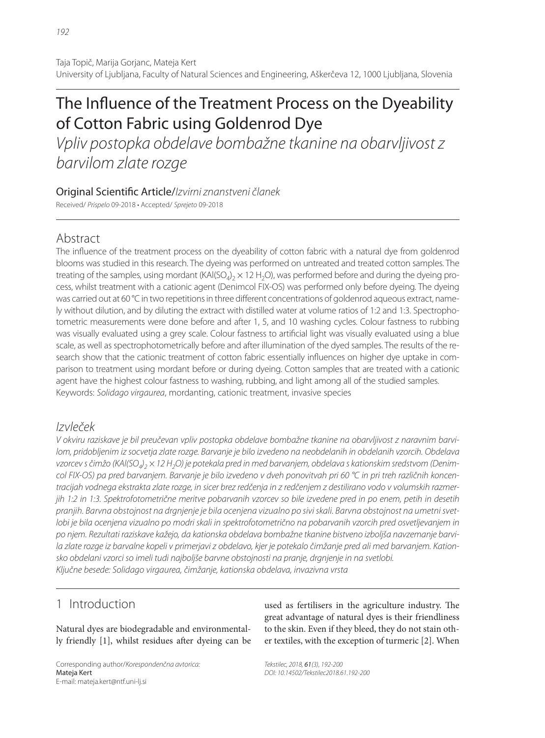# The Influence of the Treatment Process on the Dyeability of Cotton Fabric using Goldenrod Dye

Vpliv postopka obdelave bombažne tkanine na obarvljivost z barvilom zlate rozge

## Original Scientific Article/Izvirni znanstveni članek

Received/ Prispelo 09-2018 • Accepted/ Sprejeto 09-2018

# Abstract

The influence of the treatment process on the dyeability of cotton fabric with a natural dye from goldenrod blooms was studied in this research. The dyeing was performed on untreated and treated cotton samples. The treating of the samples, using mordant (KAI(SO<sub>4</sub>)<sub>2</sub>  $\times$  12 H<sub>2</sub>O), was performed before and during the dyeing process, whilst treatment with a cationic agent (Denimcol FIX-OS) was performed only before dyeing. The dyeing was carried out at 60 °C in two repetitions in three different concentrations of goldenrod aqueous extract, namely without dilution, and by diluting the extract with distilled water at volume ratios of 1:2 and 1:3. Spectrophotometric measurements were done before and after 1, 5, and 10 washing cycles. Colour fastness to rubbing was visually evaluated using a grey scale. Colour fastness to artificial light was visually evaluated using a blue scale, as well as spectrophotometrically before and after illumination of the dyed samples. The results of the research show that the cationic treatment of cotton fabric essentially influences on higher dye uptake in comparison to treatment using mordant before or during dyeing. Cotton samples that are treated with a cationic agent have the highest colour fastness to washing, rubbing, and light among all of the studied samples. Keywords: Solidago virgaurea, mordanting, cationic treatment, invasive species

# Izvleček

V okviru raziskave je bil preučevan vpliv postopka obdelave bombažne tkanine na obarvljivost z naravnim barvilom, pridobljenim iz socvetja zlate rozge. Barvanje je bilo izvedeno na neobdelanih in obdelanih vzorcih. Obdelava vzorcev s čimžo (KAl(SO<sub>4</sub>)  $\times$  12 H<sub>2</sub>O) je potekala pred in med barvanjem, obdelava s kationskim sredstvom (Denimcol FIX-OS) pa pred barvanjem. Barvanje je bilo izvedeno v dveh ponovitvah pri 60 °C in pri treh različnih koncentracijah vodnega ekstrakta zlate rozge, in sicer brez redčenja in z redčenjem z destilirano vodo v volumskih razmerjih 1:2 in 1:3. Spektrofotometrične meritve pobarvanih vzorcev so bile izvedene pred in po enem, petih in desetih pranjih. Barvna obstojnost na drgnjenje je bila ocenjena vizualno po sivi skali. Barvna obstojnost na umetni svetlobi je bila ocenjena vizualno po modri skali in spektrofotometrično na pobarvanih vzorcih pred osvetljevanjem in po njem. Rezultati raziskave kažejo, da kationska obdelava bombažne tkanine bistveno izboljša navzemanje barvila zlate rozge iz barvalne kopeli v primerjavi z obdelavo, kjer je potekalo čimžanje pred ali med barvanjem. Kationsko obdelani vzorci so imeli tudi najboljše barvne obstojnosti na pranje, drgnjenje in na svetlobi. Ključne besede: Solidago virgaurea, čimžanje, kationska obdelava, invazivna vrsta

# 1 Introduction

Natural dyes are biodegradable and environmentally friendly [1], whilst residues after dyeing can be

Corresponding author/Korespondenčna avtorica: Mateja Kert E-mail: mateja.kert@ntf.uni-lj.si

used as fertilisers in the agriculture industry. The great advantage of natural dyes is their friendliness to the skin. Even if they bleed, they do not stain other textiles, with the exception of turmeric [2]. When

Tekstilec, 2018, 61(3), 192-200 DOI: 10.14502/Tekstilec2018.61.192-200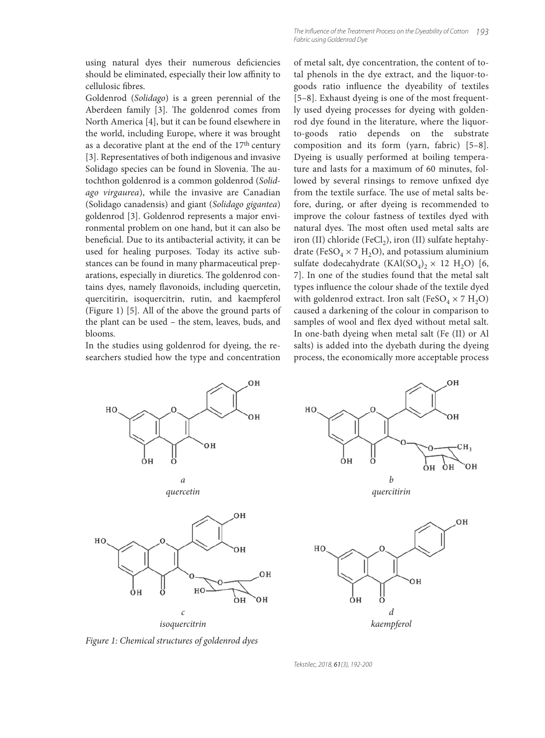using natural dyes their numerous deficiencies should be eliminated, especially their low affinity to cellulosic fibres.

Goldenrod (*Solidago*) is a green perennial of the Aberdeen family [3]. The goldenrod comes from North America [4], but it can be found elsewhere in the world, including Europe, where it was brought as a decorative plant at the end of the 17<sup>th</sup> century [3]. Representatives of both indigenous and invasive Solidago species can be found in Slovenia. The autochthon goldenrod is a common goldenrod (*Solidago virgaurea*), while the invasive are Canadian (Solidago canadensis) and giant (*Solidago gigantea*) goldenrod [3]. Goldenrod represents a major environmental problem on one hand, but it can also be beneficial. Due to its antibacterial activity, it can be used for healing purposes. Today its active substances can be found in many pharmaceutical preparations, especially in diuretics. The goldenrod contains dyes, namely flavonoids, including quercetin, quercitirin, isoquercitrin, rutin, and kaempferol (Figure 1) [5]. All of the above the ground parts of the plant can be used – the stem, leaves, buds, and blooms.

In the studies using goldenrod for dyeing, the researchers studied how the type and concentration

of metal salt, dye concentration, the content of total phenols in the dye extract, and the liquor-togoods ratio influence the dyeability of textiles [5–8]. Exhaust dyeing is one of the most frequently used dyeing processes for dyeing with goldenrod dye found in the literature, where the liquorto-goods ratio depends on the substrate composition and its form (yarn, fabric) [5–8]. Dyeing is usually performed at boiling temperature and lasts for a maximum of 60 minutes, followed by several rinsings to remove unfixed dye from the textile surface. The use of metal salts before, during, or after dyeing is recommended to improve the colour fastness of textiles dyed with natural dyes. The most often used metal salts are iron (II) chloride (FeCl<sub>2</sub>), iron (II) sulfate heptahydrate (FeSO<sub>4</sub>  $\times$  7 H<sub>2</sub>O), and potassium aluminium sulfate dodecahydrate  $(KAI(SO<sub>4</sub>)<sub>2</sub> \times 12$  H<sub>2</sub>O) [6, 7]. In one of the studies found that the metal salt types influence the colour shade of the textile dyed with goldenrod extract. Iron salt (FeSO<sub>4</sub>  $\times$  7 H<sub>2</sub>O) caused a darkening of the colour in comparison to samples of wool and flex dyed without metal salt. In one-bath dyeing when metal salt (Fe (II) or Al salts) is added into the dyebath during the dyeing process, the economically more acceptable process



OH HO OН  $CH<sub>3</sub>$ ö ÒН òн ЮH *b quercitirin*



*Figure 1: Chemical structures of goldenrod dyes*

Tekstilec, 2018, 61(3), 192-200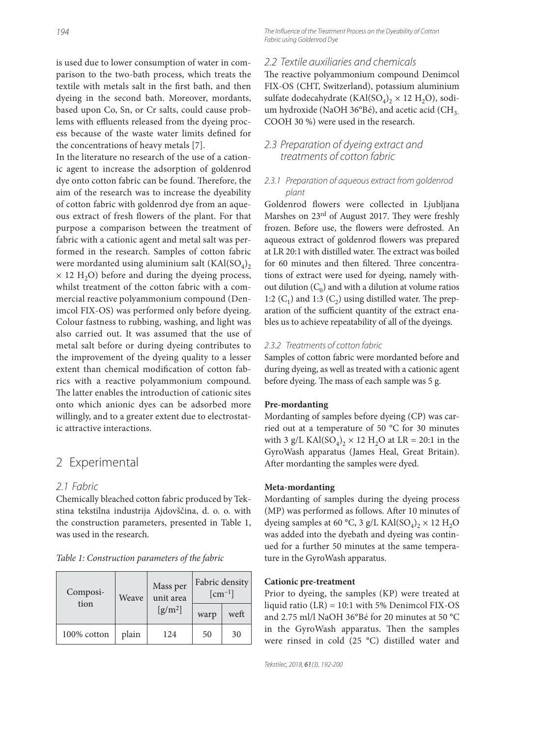is used due to lower consumption of water in comparison to the two-bath process, which treats the textile with metals salt in the first bath, and then dyeing in the second bath. Moreover, mordants, based upon Co, Sn, or Cr salts, could cause problems with effluents released from the dyeing process because of the waste water limits defined for the concentrations of heavy metals [7].

In the literature no research of the use of a cationic agent to increase the adsorption of goldenrod dye onto cotton fabric can be found. Therefore, the aim of the research was to increase the dyeability of cotton fabric with goldenrod dye from an aqueous extract of fresh flowers of the plant. For that purpose a comparison between the treatment of fabric with a cationic agent and metal salt was performed in the research. Samples of cotton fabric were mordanted using aluminium salt  $(KAI(SO<sub>4</sub>)<sub>2</sub>$  $\times$  12 H<sub>2</sub>O) before and during the dyeing process, whilst treatment of the cotton fabric with a commercial reactive polyammonium compound (Denimcol FIX-OS) was performed only before dyeing. Colour fastness to rubbing, washing, and light was also carried out. It was assumed that the use of metal salt before or during dyeing contributes to the improvement of the dyeing quality to a lesser extent than chemical modification of cotton fabrics with a reactive polyammonium compound. The latter enables the introduction of cationic sites onto which anionic dyes can be adsorbed more willingly, and to a greater extent due to electrostatic attractive interactions.

# 2 Experimental

#### 2.1 Fabric

Chemically bleached cotton fabric produced by Tekstina tekstilna industrija Ajdovščina, d. o. o. with the construction parameters, presented in Table 1, was used in the research.

*Table 1: Construction parameters of the fabric*

| Composi-<br>tion | Weave | Mass per<br>unit area | Fabric density<br>$\lceil$ cm <sup>-1</sup> $\rceil$ |      |  |
|------------------|-------|-----------------------|------------------------------------------------------|------|--|
|                  |       | $[g/m^2]$             | warp                                                 | weft |  |
| 100% cotton      | plain | 124                   | 50                                                   | 30   |  |

#### 2.2 Textile auxiliaries and chemicals

The reactive polyammonium compound Denimcol FIX-OS (CHT, Switzerland), potassium aluminium sulfate dodecahydrate  $(KAI(SO<sub>4</sub>)<sub>2</sub> \times 12 \text{ H}<sub>2</sub>O)$ , sodium hydroxide (NaOH 36°Bé), and acetic acid (CH<sub>3-</sub> COOH 30 %) were used in the research.

#### 2.3 Preparation of dyeing extract and treatments of cotton fabric

#### 2.3.1 Preparation of aqueous extract from goldenrod plant

Goldenrod flowers were collected in Ljubljana Marshes on 23<sup>rd</sup> of August 2017. They were freshly frozen. Before use, the flowers were defrosted. An aqueous extract of goldenrod flowers was prepared at LR 20:1 with distilled water. The extract was boiled for 60 minutes and then filtered. Three concentrations of extract were used for dyeing, namely without dilution  $(C_0)$  and with a dilution at volume ratios 1:2  $(C_1)$  and 1:3  $(C_2)$  using distilled water. The preparation of the sufficient quantity of the extract enables us to achieve repeatability of all of the dyeings.

#### 2.3.2 Treatments of cotton fabric

Samples of cotton fabric were mordanted before and during dyeing, as well as treated with a cationic agent before dyeing. The mass of each sample was 5 g.

#### **Pre-mordanting**

Mordanting of samples before dyeing (CP) was carried out at a temperature of 50 °C for 30 minutes with 3 g/L KAl(SO<sub>4</sub>)<sub>2</sub> × 12 H<sub>2</sub>O at LR = 20:1 in the GyroWash apparatus (James Heal, Great Britain). After mordanting the samples were dyed.

#### **Meta-mordanting**

Mordanting of samples during the dyeing process (MP) was performed as follows. After 10 minutes of dyeing samples at 60 °C, 3 g/L KAl(SO<sub>4</sub>)<sub>2</sub> × 12 H<sub>2</sub>O was added into the dyebath and dyeing was continued for a further 50 minutes at the same temperature in the GyroWash apparatus.

#### **Cationic pre-treatment**

Prior to dyeing, the samples (KP) were treated at liquid ratio (LR) = 10:1 with 5% Denimcol FIX-OS and 2.75 ml/l NaOH 36°Bé for 20 minutes at 50 °C in the GyroWash apparatus. Then the samples were rinsed in cold (25 °C) distilled water and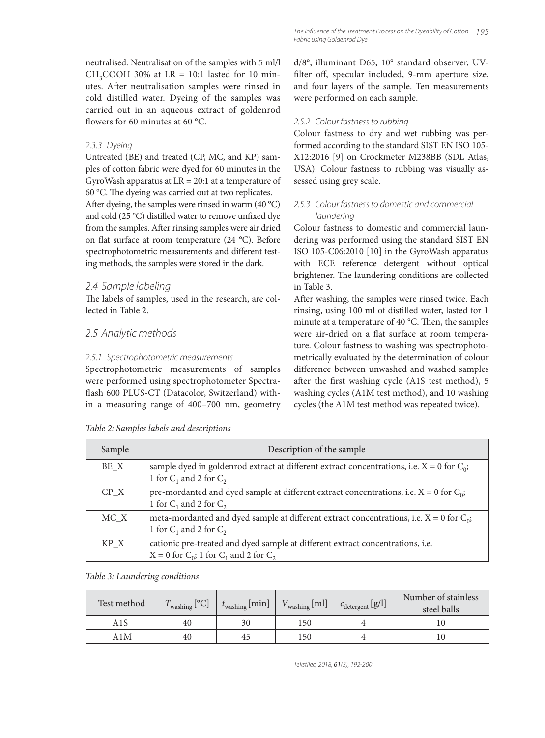neutralised. Neutralisation of the samples with 5 ml/l CH<sub>3</sub>COOH 30% at LR = 10:1 lasted for 10 minutes. After neutralisation samples were rinsed in cold distilled water. Dyeing of the samples was carried out in an aqueous extract of goldenrod flowers for 60 minutes at 60 $°C$ .

#### 2.3.3 Dyeing

Untreated (BE) and treated (CP, MC, and KP) samples of cotton fabric were dyed for 60 minutes in the GyroWash apparatus at  $LR = 20:1$  at a temperature of 60 °C. The dyeing was carried out at two replicates. After dyeing, the samples were rinsed in warm  $(40 °C)$ and cold (25 °C) distilled water to remove unfixed dye from the samples. After rinsing samples were air dried on flat surface at room temperature (24 °C). Before spectrophotometric measurements and different testing methods, the samples were stored in the dark.

#### 2.4 Sample labeling

The labels of samples, used in the research, are collected in Table 2.

### 2.5 Analytic methods

#### 2.5.1 Spectrophotometric measurements

Spectrophotometric measurements of samples were performed using spectrophotometer Spectraflash 600 PLUS-CT (Datacolor, Switzerland) within a measuring range of 400–700 nm, geometry d/8°, illuminant D65, 10° standard observer, UVfilter off, specular included, 9-mm aperture size, and four layers of the sample. Ten measurements were performed on each sample.

#### 2.5.2 Colour fastness to rubbing

Colour fastness to dry and wet rubbing was performed according to the standard SIST EN ISO 105- X12:2016 [9] on Crockmeter M238BB (SDL Atlas, USA). Colour fastness to rubbing was visually assessed using grey scale.

#### 2.5.3 Colour fastness to domestic and commercial laundering

Colour fastness to domestic and commercial laundering was performed using the standard SIST EN ISO 105-C06:2010 [10] in the GyroWash apparatus with ECE reference detergent without optical brightener. The laundering conditions are collected in Table 3.

After washing, the samples were rinsed twice. Each rinsing, using 100 ml of distilled water, lasted for 1 minute at a temperature of 40  $^{\circ}$ C. Then, the samples were air-dried on a flat surface at room temperature. Colour fastness to washing was spectrophotometrically evaluated by the determination of colour difference between unwashed and washed samples after the first washing cycle (A1S test method), 5 washing cycles (A1M test method), and 10 washing cycles (the A1M test method was repeated twice).

| Sample | Description of the sample                                                                                                         |
|--------|-----------------------------------------------------------------------------------------------------------------------------------|
| BE_X   | sample dyed in goldenrod extract at different extract concentrations, i.e. $X = 0$ for $C_0$ ;<br>1 for $C_1$ and 2 for $C_2$     |
| $CP_X$ | pre-mordanted and dyed sample at different extract concentrations, i.e. $X = 0$ for $C_0$ ;<br>1 for $C_1$ and 2 for $C_2$        |
| $MC_X$ | meta-mordanted and dyed sample at different extract concentrations, i.e. $X = 0$ for $C_0$ ;<br>1 for $C_1$ and 2 for $C_2$       |
| KP X   | cationic pre-treated and dyed sample at different extract concentrations, i.e.<br>$X = 0$ for $C_0$ ; 1 for $C_1$ and 2 for $C_2$ |

#### *Table 2: Samples labels and descriptions*

*Table 3: Laundering conditions*

| Test method | $T_{\text{washing}}$ [°C] | $\frac{1}{\nu_{\text{washing}}}\lfloor \text{min} \rfloor + \nu$ | $V_{\text{washing}}[\text{ml}]$ | $c_{\text{detergent}}[g/l]$ | Number of stainless<br>steel balls |
|-------------|---------------------------|------------------------------------------------------------------|---------------------------------|-----------------------------|------------------------------------|
| A1S         | 40                        | 30                                                               | 150                             |                             |                                    |
| A1M         | 40                        | 45                                                               | 150                             |                             |                                    |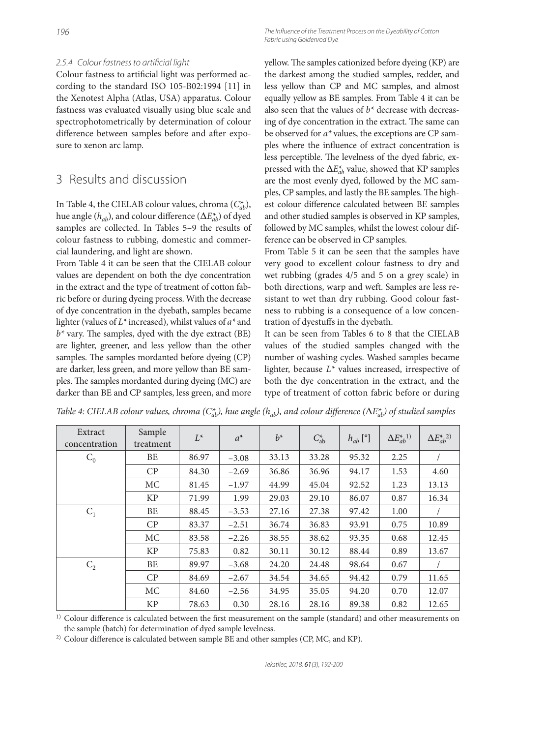#### 2.5.4 Colour fastness to artificial light

Colour fastness to artificial light was performed according to the standard ISO 105-B02:1994 [11] in the Xenotest Alpha (Atlas, USA) apparatus. Colour fastness was evaluated visually using blue scale and spectrophotometrically by determination of colour difference between samples before and after exposure to xenon arc lamp.

### 3 Results and discussion

In Table 4, the CIELAB colour values, chroma  $(C_{ab}^*),$ hue angle ( $h_{ab}$ ), and colour difference ( $\Delta E^*_{ab}$ ) of dyed samples are collected. In Tables 5–9 the results of colour fastness to rubbing, domestic and commercial laundering, and light are shown.

From Table 4 it can be seen that the CIELAB colour values are dependent on both the dye concentration in the extract and the type of treatment of cotton fabric before or during dyeing process. With the decrease of dye concentration in the dyebath, samples became lighter (values of *L\** increased), whilst values of *a\** and  $b^*$  vary. The samples, dyed with the dye extract (BE) are lighter, greener, and less yellow than the other samples. The samples mordanted before dyeing (CP) are darker, less green, and more yellow than BE samples. The samples mordanted during dyeing (MC) are darker than BE and CP samples, less green, and more yellow. The samples cationized before dyeing (KP) are the darkest among the studied samples, redder, and less yellow than CP and MC samples, and almost equally yellow as BE samples. From Table 4 it can be also seen that the values of *b\** decrease with decreasing of dye concentration in the extract. The same can be observed for *a\** values, the exceptions are CP samples where the influence of extract concentration is less perceptible. The levelness of the dyed fabric, expressed with the  $\Delta E^*_{ab}$  value, showed that KP samples are the most evenly dyed, followed by the MC samples, CP samples, and lastly the BE samples. The highest colour difference calculated between BE samples and other studied samples is observed in KP samples, followed by MC samples, whilst the lowest colour difference can be observed in CP samples.

From Table 5 it can be seen that the samples have very good to excellent colour fastness to dry and wet rubbing (grades 4/5 and 5 on a grey scale) in both directions, warp and weft. Samples are less resistant to wet than dry rubbing. Good colour fastness to rubbing is a consequence of a low concentration of dyestuffs in the dyebath.

It can be seen from Tables 6 to 8 that the CIELAB values of the studied samples changed with the number of washing cycles. Washed samples became lighter, because *L\** values increased, irrespective of both the dye concentration in the extract, and the type of treatment of cotton fabric before or during

| Extract<br>concentration | Sample<br>treatment | $L^*$ | $a^*$   | $b^*$ | $C_{ab}^*$ | $h_{ab}$ <sup>[°]</sup> | $\Delta E^{\ast}_{ab}{}^{1)}$ | $\Delta E^{\ast}_{ab}{}^{2)}$ |
|--------------------------|---------------------|-------|---------|-------|------------|-------------------------|-------------------------------|-------------------------------|
| $C_0$                    | BE                  | 86.97 | $-3.08$ | 33.13 | 33.28      | 95.32                   | 2.25                          |                               |
|                          | CP                  | 84.30 | $-2.69$ | 36.86 | 36.96      | 94.17                   | 1.53                          | 4.60                          |
|                          | MC                  | 81.45 | $-1.97$ | 44.99 | 45.04      | 92.52                   | 1.23                          | 13.13                         |
|                          | <b>KP</b>           | 71.99 | 1.99    | 29.03 | 29.10      | 86.07                   | 0.87                          | 16.34                         |
| $C_1$                    | BE                  | 88.45 | $-3.53$ | 27.16 | 27.38      | 97.42                   | 1.00                          |                               |
|                          | CP                  | 83.37 | $-2.51$ | 36.74 | 36.83      | 93.91                   | 0.75                          | 10.89                         |
|                          | MC                  | 83.58 | $-2.26$ | 38.55 | 38.62      | 93.35                   | 0.68                          | 12.45                         |
|                          | <b>KP</b>           | 75.83 | 0.82    | 30.11 | 30.12      | 88.44                   | 0.89                          | 13.67                         |
| C <sub>2</sub>           | BE                  | 89.97 | $-3.68$ | 24.20 | 24.48      | 98.64                   | 0.67                          |                               |
|                          | CP                  | 84.69 | $-2.67$ | 34.54 | 34.65      | 94.42                   | 0.79                          | 11.65                         |
|                          | МC                  | 84.60 | $-2.56$ | 34.95 | 35.05      | 94.20                   | 0.70                          | 12.07                         |
|                          | <b>KP</b>           | 78.63 | 0.30    | 28.16 | 28.16      | 89.38                   | 0.82                          | 12.65                         |

*Table 4: CIELAB colour values, chroma* (C<sub>\*ab</sub>), *hue angle (h<sub>ab</sub>), and colour difference* (Δ*E*<sub>ab</sub>) *of studied samples* 

 $1)$  Colour difference is calculated between the first measurement on the sample (standard) and other measurements on the sample (batch) for determination of dyed sample levelness.

 $2)$  Colour difference is calculated between sample BE and other samples (CP, MC, and KP).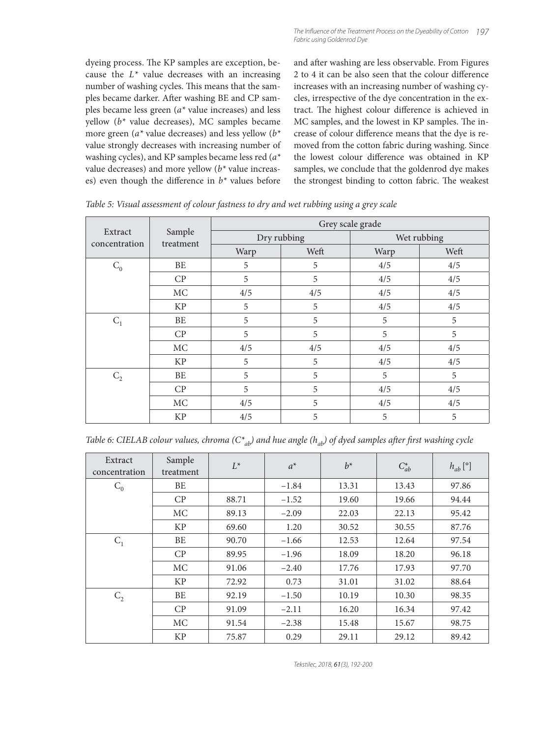dyeing process. The KP samples are exception, because the *L\** value decreases with an increasing number of washing cycles. This means that the samples became darker. After washing BE and CP samples became less green (*a\** value increases) and less yellow (*b\** value decreases), MC samples became more green (*a\** value decreases) and less yellow (*b\** value strongly decreases with increasing number of washing cycles), and KP samples became less red (*a\** value decreases) and more yellow (*b\** value increases) even though the difference in  $b^*$  values before

and after washing are less observable. From Figures 2 to 4 it can be also seen that the colour difference increases with an increasing number of washing cycles, irrespective of the dye concentration in the extract. The highest colour difference is achieved in MC samples, and the lowest in KP samples. The increase of colour difference means that the dye is removed from the cotton fabric during washing. Since the lowest colour difference was obtained in KP samples, we conclude that the goldenrod dye makes the strongest binding to cotton fabric. The weakest

|                          |                     | Grey scale grade |             |             |      |  |  |  |
|--------------------------|---------------------|------------------|-------------|-------------|------|--|--|--|
| Extract<br>concentration | Sample<br>treatment |                  | Dry rubbing | Wet rubbing |      |  |  |  |
|                          |                     | Warp             | Weft        | Warp        | Weft |  |  |  |
| $C_0$                    | BE                  | 5                | 5           | 4/5         | 4/5  |  |  |  |
|                          | CP                  | 5                | 5           | 4/5         | 4/5  |  |  |  |
|                          | MC                  | 4/5              | 4/5         | 4/5         | 4/5  |  |  |  |
|                          | <b>KP</b>           | 5                | 5           | 4/5         | 4/5  |  |  |  |
| $C_1$                    | BE                  | 5                | 5           | 5           | 5    |  |  |  |
|                          | CP                  | 5                | 5           | 5           | 5    |  |  |  |
|                          | MC                  | 4/5              | 4/5         | 4/5         | 4/5  |  |  |  |
|                          | <b>KP</b>           | 5                | 5           | 4/5         | 4/5  |  |  |  |
| $C_2$                    | BE                  | 5                | 5           | 5           | 5    |  |  |  |
|                          | CP                  | 5                | 5           | 4/5         | 4/5  |  |  |  |
|                          | MC                  | 4/5              | 5           | 4/5         | 4/5  |  |  |  |
|                          | <b>KP</b>           | 4/5              | 5           | 5           | 5    |  |  |  |

*Table 5: Visual assessment of colour fastness to dry and wet rubbing using a grey scale*

| Extract<br>concentration | Sample<br>treatment | $L^*$ | $a^*$   | $b^*$ | $C_{ab}^*$ | $h_{ab}$ <sup>[°]</sup> |
|--------------------------|---------------------|-------|---------|-------|------------|-------------------------|
| $C_0$                    | <b>BE</b>           |       | $-1.84$ | 13.31 | 13.43      | 97.86                   |
|                          | CP                  | 88.71 | $-1.52$ | 19.60 | 19.66      | 94.44                   |
|                          | МC                  | 89.13 | $-2.09$ | 22.03 | 22.13      | 95.42                   |
|                          | <b>KP</b>           | 69.60 | 1.20    | 30.52 | 30.55      | 87.76                   |
| $C_1$                    | <b>BE</b>           | 90.70 | $-1.66$ | 12.53 | 12.64      | 97.54                   |
|                          | CP                  | 89.95 | $-1.96$ | 18.09 | 18.20      | 96.18                   |
|                          | MC                  | 91.06 | $-2.40$ | 17.76 | 17.93      | 97.70                   |
|                          | <b>KP</b>           | 72.92 | 0.73    | 31.01 | 31.02      | 88.64                   |
| C <sub>2</sub>           | <b>BE</b>           | 92.19 | $-1.50$ | 10.19 | 10.30      | 98.35                   |
|                          | CP                  | 91.09 | $-2.11$ | 16.20 | 16.34      | 97.42                   |
|                          | МC                  | 91.54 | $-2.38$ | 15.48 | 15.67      | 98.75                   |
|                          | <b>KP</b>           | 75.87 | 0.29    | 29.11 | 29.12      | 89.42                   |

Tekstilec, 2018, 61(3), 192-200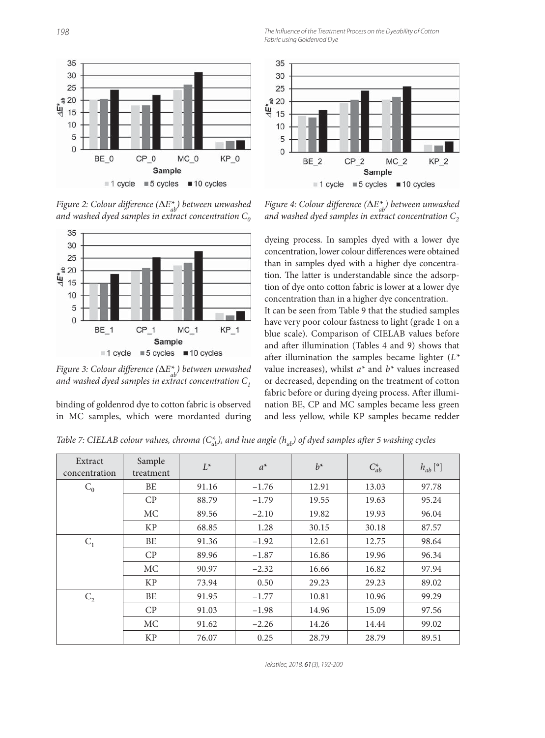The Influence of the Treatment Process on the Dyeability of Cotton Fabric using Goldenrod Dye



*Figure 2: Colour difference* ( $\Delta E^*_{ab}$ ) between unwashed and washed dyed samples in extract concentration  $C_0$ 



*Figure 3: Colour difference* ( $\Delta E^*_{ab}$ ) between unwashed *and washed dyed samples in extract concentration C1*

binding of goldenrod dye to cotton fabric is observed in MC samples, which were mordanted during



*Figure 4: Colour difference* ( $\Delta E^*_{ab}$ ) between unwashed *and washed dyed samples in extract concentration C2*

dyeing process. In samples dyed with a lower dye concentration, lower colour differences were obtained than in samples dyed with a higher dye concentration. The latter is understandable since the adsorption of dye onto cotton fabric is lower at a lower dye concentration than in a higher dye concentration. It can be seen from Table 9 that the studied samples have very poor colour fastness to light (grade 1 on a blue scale). Comparison of CIELAB values before and after illumination (Tables 4 and 9) shows that after illumination the samples became lighter  $(L^*)$ value increases), whilst *a\** and *b\** values increased or decreased, depending on the treatment of cotton fabric before or during dyeing process. After illumination BE, CP and MC samples became less green and less yellow, while KP samples became redder

*Table 7: CIELAB colour values, chroma* ( $C_{ab}^*$ ), and hue angle ( $h_{ab}$ ) of dyed samples after 5 washing cycles

| Extract<br>concentration | Sample<br>treatment | $L^*$ | $a^*$   | $b^*$ | $C_{ab}^*$ | $h_{ab}$ <sup>[°]</sup> |
|--------------------------|---------------------|-------|---------|-------|------------|-------------------------|
| $C_0$                    | <b>BE</b>           | 91.16 | $-1.76$ | 12.91 | 13.03      | 97.78                   |
|                          | CP                  | 88.79 | $-1.79$ | 19.55 | 19.63      | 95.24                   |
|                          | МC                  | 89.56 | $-2.10$ | 19.82 | 19.93      | 96.04                   |
|                          | <b>KP</b>           | 68.85 | 1.28    | 30.15 | 30.18      | 87.57                   |
| $C_1$                    | <b>BE</b>           | 91.36 | $-1.92$ | 12.61 | 12.75      | 98.64                   |
|                          | CP                  | 89.96 | $-1.87$ | 16.86 | 19.96      | 96.34                   |
|                          | МC                  | 90.97 | $-2.32$ | 16.66 | 16.82      | 97.94                   |
|                          | <b>KP</b>           | 73.94 | 0.50    | 29.23 | 29.23      | 89.02                   |
| C <sub>2</sub>           | <b>BE</b>           | 91.95 | $-1.77$ | 10.81 | 10.96      | 99.29                   |
|                          | CP                  | 91.03 | $-1.98$ | 14.96 | 15.09      | 97.56                   |
|                          | MC                  | 91.62 | $-2.26$ | 14.26 | 14.44      | 99.02                   |
|                          | <b>KP</b>           | 76.07 | 0.25    | 28.79 | 28.79      | 89.51                   |

Tekstilec, 2018, 61(3), 192-200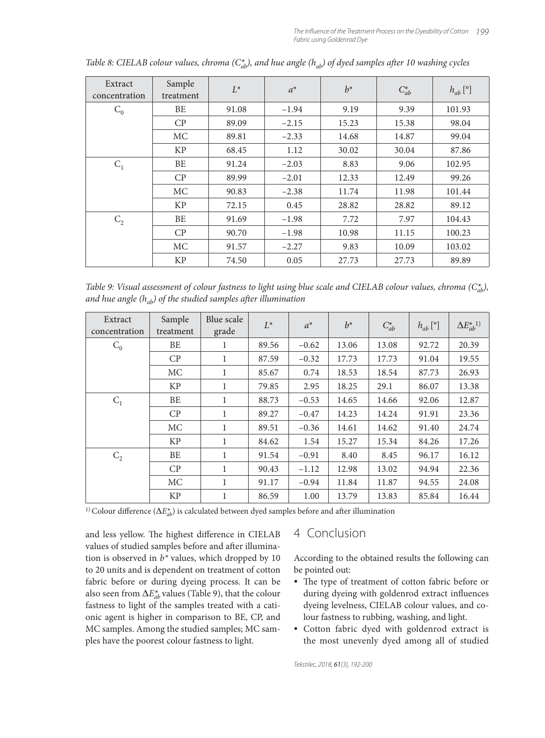| Extract<br>concentration | Sample<br>treatment | $L^*$ | $a^*$   | $b^*$ | $C_{ab}^*$ | $h_{ab}$ <sup>[°]</sup> |
|--------------------------|---------------------|-------|---------|-------|------------|-------------------------|
| $C_0$                    | BE                  | 91.08 | $-1.94$ | 9.19  | 9.39       | 101.93                  |
|                          | CP                  | 89.09 | $-2.15$ | 15.23 | 15.38      | 98.04                   |
|                          | MC                  | 89.81 | $-2.33$ | 14.68 | 14.87      | 99.04                   |
|                          | <b>KP</b>           | 68.45 | 1.12    | 30.02 | 30.04      | 87.86                   |
| $C_1$                    | BE                  | 91.24 | $-2.03$ | 8.83  | 9.06       | 102.95                  |
|                          | CP                  | 89.99 | $-2.01$ | 12.33 | 12.49      | 99.26                   |
|                          | MC                  | 90.83 | $-2.38$ | 11.74 | 11.98      | 101.44                  |
|                          | <b>KP</b>           | 72.15 | 0.45    | 28.82 | 28.82      | 89.12                   |
| $C_2$                    | BE                  | 91.69 | $-1.98$ | 7.72  | 7.97       | 104.43                  |
|                          | CP                  | 90.70 | $-1.98$ | 10.98 | 11.15      | 100.23                  |
|                          | <b>MC</b>           | 91.57 | $-2.27$ | 9.83  | 10.09      | 103.02                  |
|                          | <b>KP</b>           | 74.50 | 0.05    | 27.73 | 27.73      | 89.89                   |

*Table 8: CIELAB colour values, chroma* ( $C_{ab}^*$ ), and hue angle ( $h_{ab}$ ) of dyed samples after 10 washing cycles

*Table 9: Visual assessment of colour fastness to light using blue scale and CIELAB colour values, chroma*  $(C^*_{ab})$ , *and hue angle* ( $h_{ab}$ ) of the studied samples after illumination

| Extract<br>concentration | Sample<br>treatment | Blue scale<br>grade | $L^*$ | $a^*$   | $b^*$ | $C_{ab}^*$ | $h_{ab}$ <sup>[°]</sup> | $\Delta E^{\ast}_{ab}{}^{1)}$ |
|--------------------------|---------------------|---------------------|-------|---------|-------|------------|-------------------------|-------------------------------|
| $C_0$                    | <b>BE</b>           | 1                   | 89.56 | $-0.62$ | 13.06 | 13.08      | 92.72                   | 20.39                         |
|                          | CP                  | 1                   | 87.59 | $-0.32$ | 17.73 | 17.73      | 91.04                   | 19.55                         |
|                          | <b>MC</b>           | $\mathbf{1}$        | 85.67 | 0.74    | 18.53 | 18.54      | 87.73                   | 26.93                         |
|                          | <b>KP</b>           | 1                   | 79.85 | 2.95    | 18.25 | 29.1       | 86.07                   | 13.38                         |
| $C_1$                    | BE                  | 1                   | 88.73 | $-0.53$ | 14.65 | 14.66      | 92.06                   | 12.87                         |
|                          | CP                  | $\mathbf{1}$        | 89.27 | $-0.47$ | 14.23 | 14.24      | 91.91                   | 23.36                         |
|                          | <b>MC</b>           | 1                   | 89.51 | $-0.36$ | 14.61 | 14.62      | 91.40                   | 24.74                         |
|                          | <b>KP</b>           | 1                   | 84.62 | 1.54    | 15.27 | 15.34      | 84.26                   | 17.26                         |
| C <sub>2</sub>           | BE                  | 1                   | 91.54 | $-0.91$ | 8.40  | 8.45       | 96.17                   | 16.12                         |
|                          | CP                  | 1                   | 90.43 | $-1.12$ | 12.98 | 13.02      | 94.94                   | 22.36                         |
|                          | <b>MC</b>           | 1                   | 91.17 | $-0.94$ | 11.84 | 11.87      | 94.55                   | 24.08                         |
|                          | <b>KP</b>           | 1                   | 86.59 | 1.00    | 13.79 | 13.83      | 85.84                   | 16.44                         |

<sup>1)</sup> Colour difference ( $\Delta E_{ab}^*$ ) is calculated between dyed samples before and after illumination

and less yellow. The highest difference in CIELAB values of studied samples before and after illumination is observed in *b\** values, which dropped by 10 to 20 units and is dependent on treatment of cotton fabric before or during dyeing process. It can be also seen from  $\Delta E^*_{ab}$  values (Table 9), that the colour fastness to light of the samples treated with a cationic agent is higher in comparison to BE, CP, and MC samples. Among the studied samples; MC samples have the poorest colour fastness to light.

### 4 Conclusion

According to the obtained results the following can be pointed out:

- The type of treatment of cotton fabric before or during dyeing with goldenrod extract influences dyeing levelness, CIELAB colour values, and colour fastness to rubbing, washing, and light.
- Cotton fabric dyed with goldenrod extract is the most unevenly dyed among all of studied